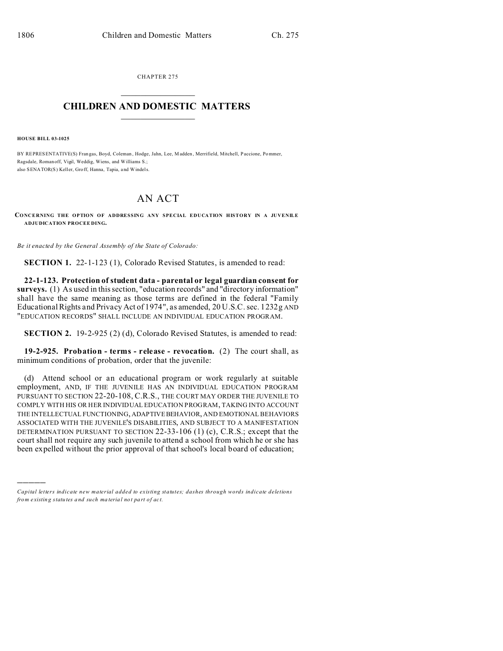CHAPTER 275  $\overline{\phantom{a}}$  , where  $\overline{\phantom{a}}$ 

## **CHILDREN AND DOMESTIC MATTERS**   $\_$   $\_$

**HOUSE BILL 03-1025**

)))))

BY REPRESENTATIVE(S) Fran gas, Boyd, Coleman , Hodge, Jahn, Lee, M adden , Merrifield, Mitchell, Paccione, Pommer, Ragsdale, Romanoff, Vigil, Weddig, Wiens, and Williams S.; also SENATOR(S) Keller, Groff, Hanna, Tapia, and Windels.

## AN ACT

**CONCERNING THE OPTION OF ADDRESSING ANY SPECIAL EDUCATION HISTORY IN A JUVENILE ADJUDICATION PROCEE DING.**

*Be it enacted by the General Assembly of the State of Colorado:*

**SECTION 1.** 22-1-123 (1), Colorado Revised Statutes, is amended to read:

**22-1-123. Protection of student data - parental or legal guardian consent for surveys.** (1) As used in this section, "education records" and "directory information" shall have the same meaning as those terms are defined in the federal "Family Educational Rights and Privacy Act of 1974", as amended, 20 U.S.C. sec. 1232g AND "EDUCATION RECORDS" SHALL INCLUDE AN INDIVIDUAL EDUCATION PROGRAM.

**SECTION 2.** 19-2-925 (2) (d), Colorado Revised Statutes, is amended to read:

**19-2-925. Probation - terms - release - revocation.** (2) The court shall, as minimum conditions of probation, order that the juvenile:

(d) Attend school or an educational program or work regularly at suitable employment, AND, IF THE JUVENILE HAS AN INDIVIDUAL EDUCATION PROGRAM PURSUANT TO SECTION 22-20-108, C.R.S., THE COURT MAY ORDER THE JUVENILE TO COMPLY WITH HIS OR HER INDIVIDUAL EDUCATION PROGRAM, TAKING INTO ACCOUNT THE INTELLECTUAL FUNCTIONING, ADAPTIVEBEHAVIOR, AND EMOTIONAL BEHAVIORS ASSOCIATED WITH THE JUVENILE'S DISABILITIES, AND SUBJECT TO A MANIFESTATION DETERMINATION PURSUANT TO SECTION 22-33-106  $(1)$  (c), C.R.S.; except that the court shall not require any such juvenile to attend a school from which he or she has been expelled without the prior approval of that school's local board of education;

*Capital letters indicate new material added to existing statutes; dashes through words indicate deletions from e xistin g statu tes a nd such ma teria l no t pa rt of ac t.*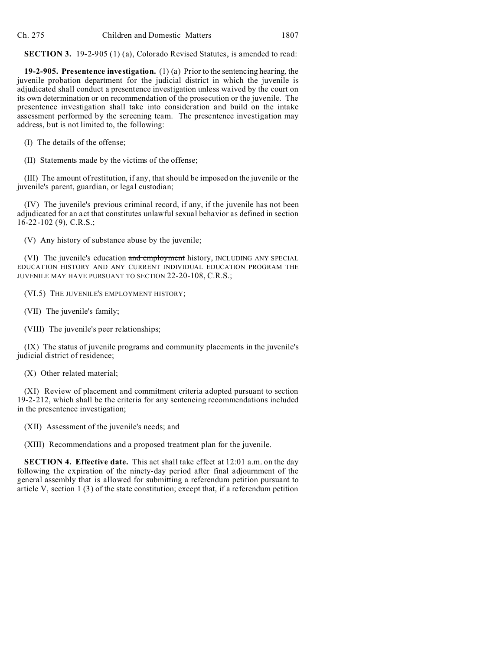**SECTION 3.** 19-2-905 (1) (a), Colorado Revised Statutes, is amended to read:

**19-2-905. Presentence investigation.** (1) (a) Prior to the sentencing hearing, the juvenile probation department for the judicial district in which the juvenile is adjudicated shall conduct a presentence investigation unless waived by the court on its own determination or on recommendation of the prosecution or the juvenile. The presentence investigation shall take into consideration and build on the intake assessment performed by the screening team. The presentence investigation may address, but is not limited to, the following:

(I) The details of the offense;

(II) Statements made by the victims of the offense;

(III) The amount of restitution, if any, that should be imposed on the juvenile or the juvenile's parent, guardian, or legal custodian;

(IV) The juvenile's previous criminal record, if any, if the juvenile has not been adjudicated for an act that constitutes unlawful sexual behavior as defined in section 16-22-102 (9), C.R.S.;

(V) Any history of substance abuse by the juvenile;

(VI) The juvenile's education and employment history, INCLUDING ANY SPECIAL EDUCATION HISTORY AND ANY CURRENT INDIVIDUAL EDUCATION PROGRAM THE JUVENILE MAY HAVE PURSUANT TO SECTION 22-20-108, C.R.S.;

(VI.5) THE JUVENILE'S EMPLOYMENT HISTORY;

(VII) The juvenile's family;

(VIII) The juvenile's peer relationships;

(IX) The status of juvenile programs and community placements in the juvenile's judicial district of residence;

(X) Other related material;

(XI) Review of placement and commitment criteria adopted pursuant to section 19-2-212, which shall be the criteria for any sentencing recommendations included in the presentence investigation;

(XII) Assessment of the juvenile's needs; and

(XIII) Recommendations and a proposed treatment plan for the juvenile.

**SECTION 4. Effective date.** This act shall take effect at 12:01 a.m. on the day following the expiration of the ninety-day period after final adjournment of the general assembly that is allowed for submitting a referendum petition pursuant to article V, section 1 (3) of the state constitution; except that, if a referendum petition